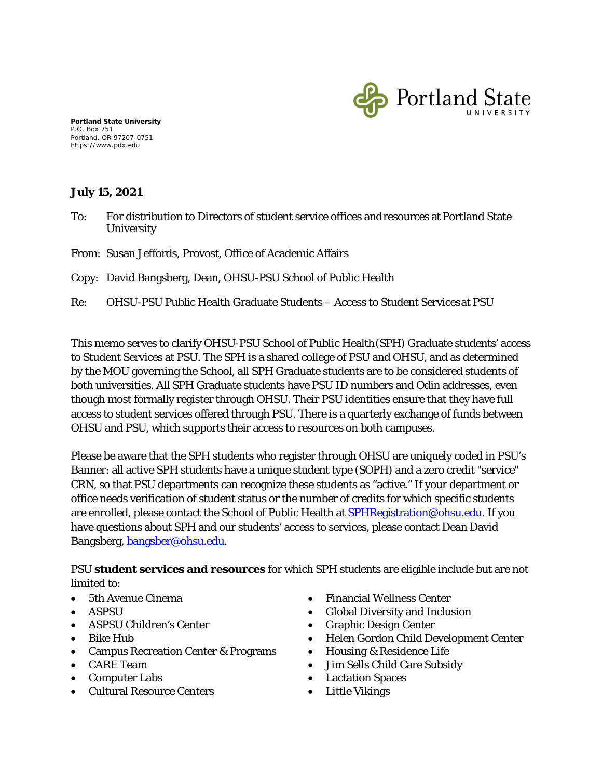

**Portland State University** P.O. Box 751 Portland, OR 97207-0751 https://www.pdx.edu

## **July 15, 2021**

- To: For distribution to Directors of student service offices andresources at Portland State **University**
- From: Susan Jeffords, Provost, Office of Academic Affairs

Copy: David Bangsberg, Dean, OHSU-PSU School of Public Health

Re: OHSU-PSU Public Health Graduate Students – Access to Student Servicesat PSU

This memo serves to clarify OHSU-PSU School of Public Health(SPH) Graduate students' access to Student Services at PSU. The SPH is a shared college of PSU and OHSU, and as determined by the MOU governing the School, all SPH Graduate students are to be considered students of both universities. All SPH Graduate students have PSU ID numbers and Odin addresses, even though most formally register through OHSU. Their PSU identities ensure that they have full access to student services offered through PSU. There is a quarterly exchange of funds between OHSU and PSU, which supports their access to resources on both campuses.

Please be aware that the SPH students who register through OHSU are uniquely coded in PSU's Banner: all active SPH students have a unique student type (SOPH) and a zero credit "service" CRN, so that PSU departments can recognize these students as "active." If your department or office needs verification of student status or the number of credits for which specific students are enrolled, please contact the School of Public Health at **SPHRegistration@ohsu.edu.** If you have questions about SPH and our students' access to services, please contact Dean David Bangsberg, [bangsber@ohsu.edu.](mailto:bangsber@ohsu.edu)

PSU **student services and resources** for which SPH students are eligible include but are not limited to:

- 5th Avenue Cinema
- ASPSU
- ASPSU Children's Center
- Bike Hub
- Campus Recreation Center & Programs
- CARE Team
- Computer Labs
- Cultural Resource Centers
- Financial Wellness Center
- Global Diversity and Inclusion
- Graphic Design Center
- Helen Gordon Child Development Center
- Housing & Residence Life
- Jim Sells Child Care Subsidy
- Lactation Spaces
- Little Vikings